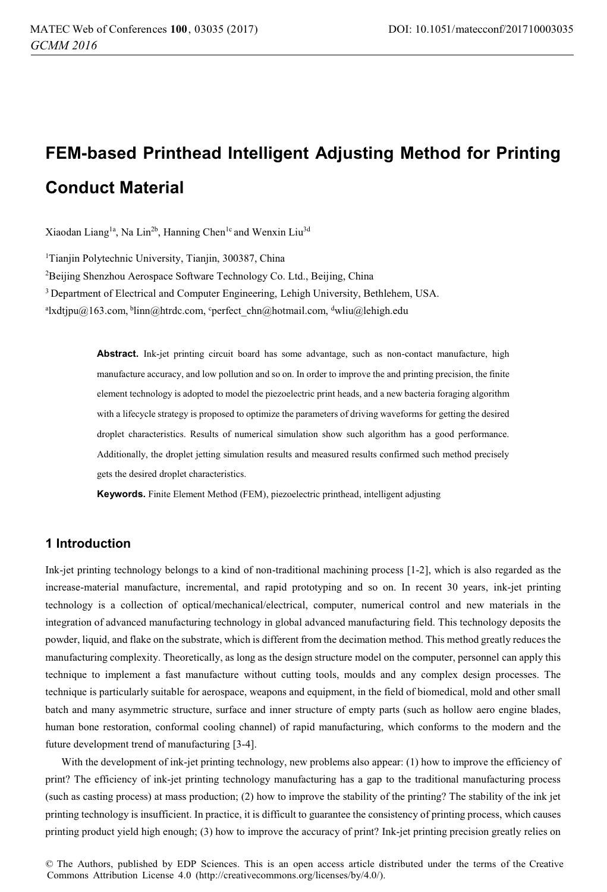# **FEM-based Printhead Intelligent Adjusting Method for Printing Conduct Material**

Xiaodan Liang<sup>1a</sup>, Na Lin<sup>2b</sup>, Hanning Chen<sup>1c</sup> and Wenxin Liu<sup>3d</sup>

1 Tianjin Polytechnic University, Tianjin, 300387, China

2 Beijing Shenzhou Aerospace Software Technology Co. Ltd., Beijing, China

3 Department of Electrical and Computer Engineering, Lehigh University, Bethlehem, USA.

<sup>a</sup>lxdtjpu@163.com, <sup>b</sup>linn@htrdc.com, <sup>c</sup>perfect\_chn@hotmail.com, <sup>d</sup>wliu@lehigh.edu

**Abstract.** Ink-jet printing circuit board has some advantage, such as non-contact manufacture, high manufacture accuracy, and low pollution and so on. In order to improve the and printing precision, the finite element technology is adopted to model the piezoelectric print heads, and a new bacteria foraging algorithm with a lifecycle strategy is proposed to optimize the parameters of driving waveforms for getting the desired droplet characteristics. Results of numerical simulation show such algorithm has a good performance. Additionally, the droplet jetting simulation results and measured results confirmed such method precisely gets the desired droplet characteristics.

**Keywords.** Finite Element Method (FEM), piezoelectric printhead, intelligent adjusting

## **1 Introduction**

Ink-jet printing technology belongs to a kind of non-traditional machining process [1-2], which is also regarded as the increase-material manufacture, incremental, and rapid prototyping and so on. In recent 30 years, ink-jet printing technology is a collection of optical/mechanical/electrical, computer, numerical control and new materials in the integration of advanced manufacturing technology in global advanced manufacturing field. This technology deposits the powder, liquid, and flake on the substrate, which is different from the decimation method. This method greatly reduces the manufacturing complexity. Theoretically, as long as the design structure model on the computer, personnel can apply this technique to implement a fast manufacture without cutting tools, moulds and any complex design processes. The technique is particularly suitable for aerospace, weapons and equipment, in the field of biomedical, mold and other small batch and many asymmetric structure, surface and inner structure of empty parts (such as hollow aero engine blades, human bone restoration, conformal cooling channel) of rapid manufacturing, which conforms to the modern and the future development trend of manufacturing [3-4].

With the development of ink-jet printing technology, new problems also appear: (1) how to improve the efficiency of print? The efficiency of ink-jet printing technology manufacturing has a gap to the traditional manufacturing process (such as casting process) at mass production; (2) how to improve the stability of the printing? The stability of the ink jet printing technology is insufficient. In practice, it is difficult to guarantee the consistency of printing process, which causes printing product yield high enough; (3) how to improve the accuracy of print? Ink-jet printing precision greatly relies on

© The Authors, published by EDP Sciences. This is an open access article distributed under the terms of the Creative Commons Attribution License 4.0 (http://creativecommons.org/licenses/by/4.0/).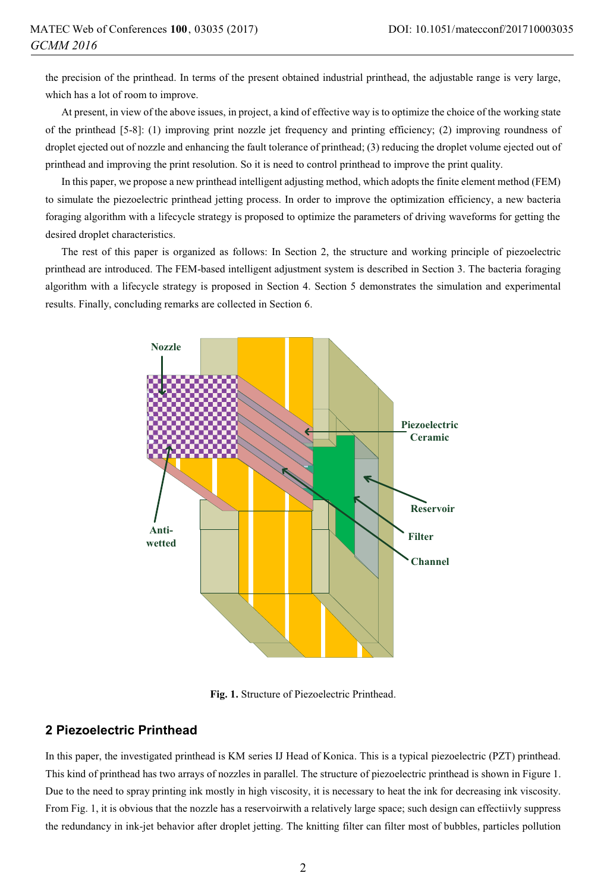the precision of the printhead. In terms of the present obtained industrial printhead, the adjustable range is very large, which has a lot of room to improve.

At present, in view of the above issues, in project, a kind of effective way is to optimize the choice of the working state of the printhead [5-8]: (1) improving print nozzle jet frequency and printing efficiency; (2) improving roundness of droplet ejected out of nozzle and enhancing the fault tolerance of printhead; (3) reducing the droplet volume ejected out of printhead and improving the print resolution. So it is need to control printhead to improve the print quality.

In this paper, we propose a new printhead intelligent adjusting method, which adopts the finite element method (FEM) to simulate the piezoelectric printhead jetting process. In order to improve the optimization efficiency, a new bacteria foraging algorithm with a lifecycle strategy is proposed to optimize the parameters of driving waveforms for getting the desired droplet characteristics.

The rest of this paper is organized as follows: In Section 2, the structure and working principle of piezoelectric printhead are introduced. The FEM-based intelligent adjustment system is described in Section 3. The bacteria foraging algorithm with a lifecycle strategy is proposed in Section 4. Section 5 demonstrates the simulation and experimental results. Finally, concluding remarks are collected in Section 6.



**Fig. 1.** Structure of Piezoelectric Printhead.

### **2 Piezoelectric Printhead**

In this paper, the investigated printhead is KM series IJ Head of Konica. This is a typical piezoelectric (PZT) printhead. This kind of printhead has two arrays of nozzles in parallel. The structure of piezoelectric printhead is shown in Figure 1. Due to the need to spray printing ink mostly in high viscosity, it is necessary to heat the ink for decreasing ink viscosity. From Fig. 1, it is obvious that the nozzle has a reservoirwith a relatively large space; such design can effectiivly suppress the redundancy in ink-jet behavior after droplet jetting. The knitting filter can filter most of bubbles, particles pollution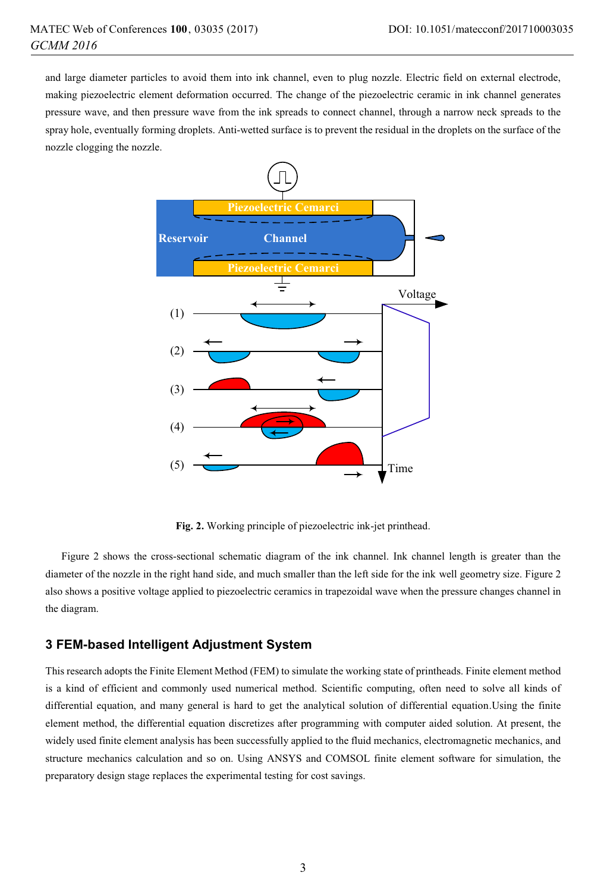and large diameter particles to avoid them into ink channel, even to plug nozzle. Electric field on external electrode, making piezoelectric element deformation occurred. The change of the piezoelectric ceramic in ink channel generates pressure wave, and then pressure wave from the ink spreads to connect channel, through a narrow neck spreads to the spray hole, eventually forming droplets. Anti-wetted surface is to prevent the residual in the droplets on the surface of the nozzle clogging the nozzle.



**Fig. 2.** Working principle of piezoelectric ink-jet printhead.

Figure 2 shows the cross-sectional schematic diagram of the ink channel. Ink channel length is greater than the diameter of the nozzle in the right hand side, and much smaller than the left side for the ink well geometry size. Figure 2 also shows a positive voltage applied to piezoelectric ceramics in trapezoidal wave when the pressure changes channel in the diagram.

#### **3 FEM-based Intelligent Adjustment System**

This research adopts the Finite Element Method (FEM) to simulate the working state of printheads. Finite element method is a kind of efficient and commonly used numerical method. Scientific computing, often need to solve all kinds of differential equation, and many general is hard to get the analytical solution of differential equation.Using the finite element method, the differential equation discretizes after programming with computer aided solution. At present, the widely used finite element analysis has been successfully applied to the fluid mechanics, electromagnetic mechanics, and structure mechanics calculation and so on. Using ANSYS and COMSOL finite element software for simulation, the preparatory design stage replaces the experimental testing for cost savings.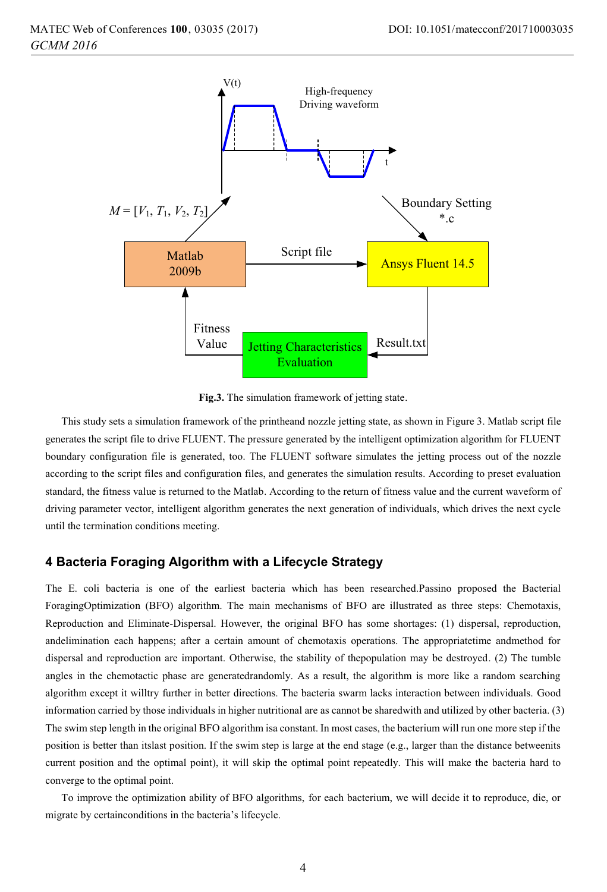

**Fig.3.** The simulation framework of jetting state.

This study sets a simulation framework of the printheand nozzle jetting state, as shown in Figure 3. Matlab script file generates the script file to drive FLUENT. The pressure generated by the intelligent optimization algorithm for FLUENT boundary configuration file is generated, too. The FLUENT software simulates the jetting process out of the nozzle according to the script files and configuration files, and generates the simulation results. According to preset evaluation standard, the fitness value is returned to the Matlab. According to the return of fitness value and the current waveform of driving parameter vector, intelligent algorithm generates the next generation of individuals, which drives the next cycle until the termination conditions meeting.

#### **4 Bacteria Foraging Algorithm with a Lifecycle Strategy**

The E. coli bacteria is one of the earliest bacteria which has been researched.Passino proposed the Bacterial ForagingOptimization (BFO) algorithm. The main mechanisms of BFO are illustrated as three steps: Chemotaxis, Reproduction and Eliminate-Dispersal. However, the original BFO has some shortages: (1) dispersal, reproduction, andelimination each happens; after a certain amount of chemotaxis operations. The appropriatetime andmethod for dispersal and reproduction are important. Otherwise, the stability of thepopulation may be destroyed. (2) The tumble angles in the chemotactic phase are generatedrandomly. As a result, the algorithm is more like a random searching algorithm except it willtry further in better directions. The bacteria swarm lacks interaction between individuals. Good information carried by those individuals in higher nutritional are as cannot be sharedwith and utilized by other bacteria. (3) The swim step length in the original BFO algorithm isa constant. In most cases, the bacterium will run one more step if the position is better than itslast position. If the swim step is large at the end stage (e.g., larger than the distance betweenits current position and the optimal point), it will skip the optimal point repeatedly. This will make the bacteria hard to converge to the optimal point.

To improve the optimization ability of BFO algorithms, for each bacterium, we will decide it to reproduce, die, or migrate by certainconditions in the bacteria's lifecycle.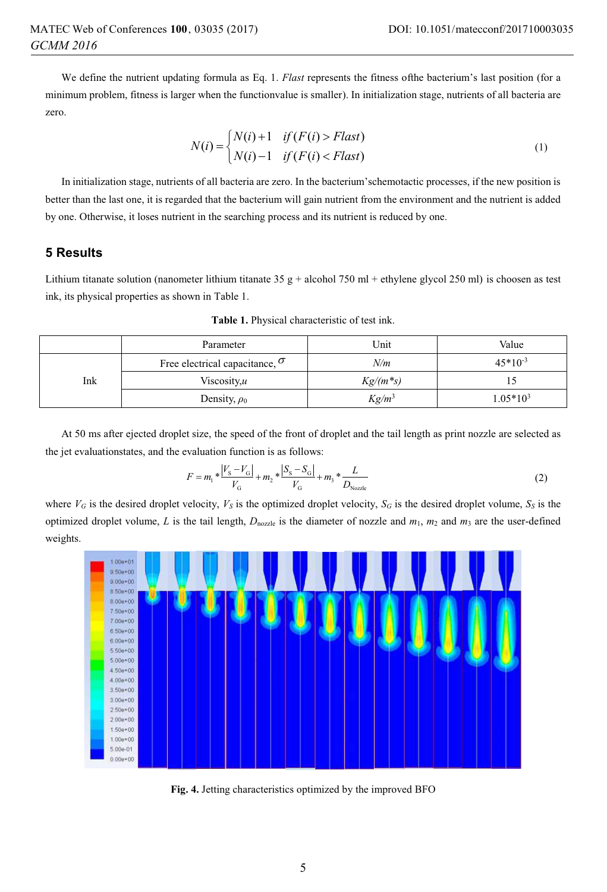We define the nutrient updating formula as Eq. 1. *Flast* represents the fitness ofthe bacterium's last position (for a minimum problem, fitness is larger when the functionvalue is smaller). In initialization stage, nutrients of all bacteria are zero.

$$
N(i) = \begin{cases} N(i) + 1 & \text{if } (F(i) > \text{Flat}) \\ N(i) - 1 & \text{if } (F(i) < \text{Flat}) \end{cases}
$$
 (1)

In initialization stage, nutrients of all bacteria are zero. In the bacterium'schemotactic processes, if the new position is better than the last one, it is regarded that the bacterium will gain nutrient from the environment and the nutrient is added by one. Otherwise, it loses nutrient in the searching process and its nutrient is reduced by one.

## **5 Results**

Lithium titanate solution (nanometer lithium titanate  $35 g + \text{alcohol } 750 \text{ ml} + \text{ethylene glycol } 250 \text{ ml}$ ) is choosen as test ink, its physical properties as shown in Table 1.

|     | Parameter                             | Unit        | Value        |
|-----|---------------------------------------|-------------|--------------|
| Ink | Free electrical capacitance, $\sigma$ | N/m         | $45*10^{-3}$ |
|     | Viscosity, $u$                        | $Kg/(m^*s)$ |              |
|     | Density, $\rho_0$                     | $Kg/m^3$    | $1.05*103$   |

**Table 1.** Physical characteristic of test ink.

At 50 ms after ejected droplet size, the speed of the front of droplet and the tail length as print nozzle are selected as the jet evaluationstates, and the evaluation function is as follows:

$$
F = m_1 * \frac{|V_S - V_G|}{V_G} + m_2 * \frac{|S_S - S_G|}{V_G} + m_3 * \frac{L}{D_{\text{Nozze}}}
$$
(2)

where  $V_G$  is the desired droplet velocity,  $V_S$  is the optimized droplet velocity,  $S_G$  is the desired droplet volume,  $S_S$  is the optimized droplet volume, *L* is the tail length,  $D_{\text{nozzle}}$  is the diameter of nozzle and  $m_1$ ,  $m_2$  and  $m_3$  are the user-defined weights.



**Fig. 4.** Jetting characteristics optimized by the improved BFO